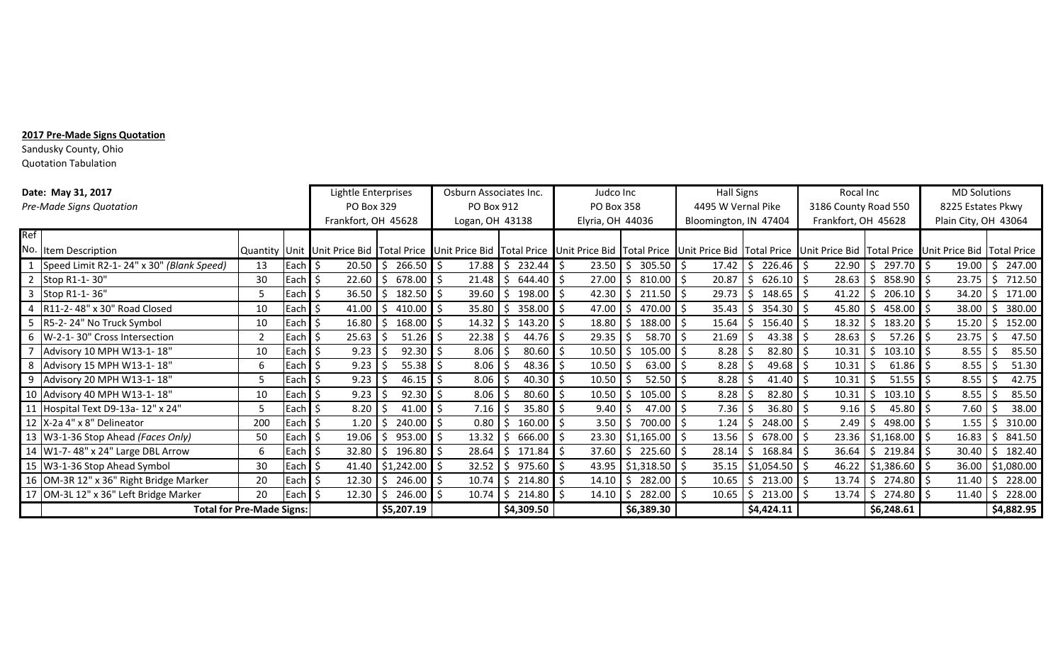## **2017 Pre-Made Signs Quotation**

Sandusky County, Ohio Quotation Tabulation

|                          | Date: May 31, 2017                       | Lightle Enterprises |                    | Osburn Associates Inc.                                                                                                                                                                                                    |                   | Judco Inc       |                      | <b>Hall Signs</b> |                       | Rocal Inc             |                           | <b>MD Solutions</b>  |                              |                      |                        |  |
|--------------------------|------------------------------------------|---------------------|--------------------|---------------------------------------------------------------------------------------------------------------------------------------------------------------------------------------------------------------------------|-------------------|-----------------|----------------------|-------------------|-----------------------|-----------------------|---------------------------|----------------------|------------------------------|----------------------|------------------------|--|
| Pre-Made Signs Quotation |                                          |                     |                    | PO Box 329                                                                                                                                                                                                                |                   | PO Box 912      |                      | PO Box 358        |                       | 4495 W Vernal Pike    |                           | 3186 County Road 550 |                              | 8225 Estates Pkwy    |                        |  |
|                          |                                          |                     |                    | Frankfort, OH 45628                                                                                                                                                                                                       |                   | Logan, OH 43138 |                      | Elyria, OH 44036  |                       | Bloomington, IN 47404 |                           | Frankfort, OH 45628  |                              | Plain City, OH 43064 |                        |  |
| Ref                      |                                          |                     |                    |                                                                                                                                                                                                                           |                   |                 |                      |                   |                       |                       |                           |                      |                              |                      |                        |  |
|                          | No. Item Description                     |                     |                    | Quantity Unit Unit Price Bid Total Price Unit Price Bid Total Price Unit Price Bid Total Price Unit Price Bid Total Price Bid Total Price Bid Total Price Bid Total Price Bid Total Price Bid Total Price Bid Total Price |                   |                 |                      |                   |                       |                       |                           |                      |                              |                      |                        |  |
|                          | Speed Limit R2-1-24" x 30" (Blank Speed) | 13                  | Each $\frac{1}{2}$ | 20.50                                                                                                                                                                                                                     | $266.50$ \$<br>\$ | 17.88           | \$<br>$232.44$ \$    | $23.50$   \$      | $305.50$ \$           | $17.42 \mid \zeta$    | $226.46$ \$               |                      | $22.90$   \$ 297.70   \$     | 19.00                | Ś.<br>247.00           |  |
|                          | 2 Stop R1-1-30"                          | 30                  | Each $\frac{1}{2}$ | 22.60                                                                                                                                                                                                                     | 678.00<br>S.      | 21.48           | 644.40<br>-Ŝ         | 27.00             | $810.00$ \$           | 20.87                 | 626.10<br>Ŝ               | 28.63                | 858.90<br>Ś                  | 23.75                | 712.50                 |  |
|                          | Stop R1-1-36"                            | 5                   | Each I \$          | 36.50                                                                                                                                                                                                                     | 182.50<br>Ŝ.      | 39.60           | 198.00<br>Ŝ.         | 42.30             | $211.50$ \$           | 29.73                 | 148.65                    | 41.22                | 206.10<br>Ś.                 | 34.20                | 171.00                 |  |
|                          | R11-2-48" x 30" Road Closed              | 10                  | Each               | 41.00<br>l S                                                                                                                                                                                                              | Ŝ.<br>410.00      | 35.80           | 358.00<br>S.         | 47.00             | -Ŝ<br>470.00 I \$     | $35.43 \mid \xi$      | $354.30$ \$               | 45.80                | 458.00<br>Ŝ.                 | 38.00                | 380.00<br>Š.           |  |
| 5                        | R5-2-24" No Truck Symbol                 | 10                  | Each $\frac{1}{2}$ | 16.80                                                                                                                                                                                                                     | . \$<br>168.00    | 14.32           | 143.20<br>S.         | 18.80<br>-S       | $188.00$ \$<br>-Ŝ     | $15.64$ \$            | $156.40 \,$ \$            | 18.32                | $183.20$ $\frac{1}{5}$<br>S. | 15.20                | 152.00<br><sup>S</sup> |  |
| 6                        | W-2-1-30" Cross Intersection             |                     | Each $\frac{1}{2}$ | 25.63                                                                                                                                                                                                                     | -Ś<br>51.26       | 22.38           | Ŝ.<br>44.76          | 29.35<br>-Ŝ       | $58.70$ $\frac{1}{5}$ | 21.69                 | 43.38                     | 28.63                | $57.26$ \$<br>Ŝ.             | 23.75                | 47.50<br>\$.           |  |
|                          | Advisory 10 MPH W13-1-18"                | 10                  | Each $\frac{1}{2}$ | 9.23                                                                                                                                                                                                                      | 92.30             | 8.06            | 80.60<br>-S          | 10.50             | $105.00$ \$           | 8.28                  | 82.80                     | 10.31                | \$<br>$103.10$ \$            | 8.55                 | 85.50                  |  |
|                          | Advisory 15 MPH W13-1-18"                | 6                   | Each   \$          | 9.23                                                                                                                                                                                                                      | 55.38             | 8.06            | 48.36                | 10.50             | $63.00$   \$          | 8.28                  | 49.68                     | 10.31                | 61.86                        | 8.55                 | 51.30                  |  |
|                          | Advisory 20 MPH W13-1-18"                | 5                   | Each S             | 9.23                                                                                                                                                                                                                      | 46.15             | 8.06            | 40.30                | 10.50             | $52.50$   \$          | 8.28                  | 41.40                     | 10.31                | 51.55                        | 8.55                 | 42.75                  |  |
| 10                       | Advisory 40 MPH W13-1-18"                | 10                  | Each               | 9.23<br>l S                                                                                                                                                                                                               | 92.30             | 8.06            | 80.60<br>$\varsigma$ | 10.50             | $105.00$   \$<br>S.   | 8.28                  | 82.80                     | 10.31                | 103.10<br>Ŝ.                 | 8.55                 | 85.50                  |  |
|                          | Hospital Text D9-13a-12" x 24"           |                     | Each $\frac{1}{2}$ | 8.20                                                                                                                                                                                                                      | 41.00<br>-Ŝ       | 7.16            | 35.80<br>$\varsigma$ | 9.40<br>-S        | 47.00 $\vert$ \$      | 7.36                  | 36.80                     | 9.16                 | 45.80<br>Ŝ.                  | 7.60                 | 38.00                  |  |
|                          | 12 X-2a 4" x 8" Delineator               | 200                 | Each $\frac{1}{2}$ | 1.20                                                                                                                                                                                                                      | 240.00<br>\$      | 0.80            | 160.00<br>Ŝ.         | 3.50<br>-Ŝ        | $700.00$ \$<br>Ŝ.     | 1.24                  | 248.00<br>S.              | 2.49                 | 498.00<br>\$                 | 1.55                 | 310.00                 |  |
|                          | 13 W3-1-36 Stop Ahead (Faces Only)       | 50                  | Each $\frac{1}{2}$ | 19.06                                                                                                                                                                                                                     | 953.00<br>Š.      | 13.32           | 666.00<br>\$         |                   | $23.30$ \$1,165.00 \$ | 13.56                 | 678.00<br>\$              |                      | 23.36 \$1,168.00             | 16.83                | 841.50                 |  |
|                          | 14 W1-7-48" x 24" Large DBL Arrow        | 6                   | Each S             | 32.80                                                                                                                                                                                                                     | 196.80<br>\$      | 28.64           | \$<br>171.84         | 37.60             | \$<br>$225.60$ \$     | 28.14                 | 168.84<br>S.              | 36.64                | 219.84<br>\$.                | 30.40                | 182.40                 |  |
|                          | 15 W3-1-36 Stop Ahead Symbol             | 30                  | Each               | 41.40<br>l S                                                                                                                                                                                                              | \$1,242.00        | 32.52           | \$<br>975.60         | 43.95             | $$1,318.50$ \$        |                       | $35.15$   \$1,054.50   \$ |                      | $46.22$   \$1,386.60   \$    | 36.00                | \$1,080.00             |  |
|                          | 16 OM-3R 12" x 36" Right Bridge Marker   | 20                  | Each $\frac{1}{2}$ | 12.30                                                                                                                                                                                                                     | \$<br>246.00      | 10.74           | S.<br>214.80         | 14.10<br>-S       | $282.00$ \$<br>S.     |                       | $10.65$   \$ 213.00   \$  | $13.74 \mid \zeta$   | 274.80 \$                    | 11.40                | 228.00<br>S.           |  |
|                          | 17 OM-3L 12" x 36" Left Bridge Marker    | 20                  | Each $\frac{1}{2}$ | $12.30 \mid \xi$                                                                                                                                                                                                          | 246.00            | l S             | $10.74$ \$ 214.80 \$ | $14.10$   \$      | $282.00$ \$           |                       | $10.65$   \$ 213.00   \$  |                      | $13.74$   \$ 274.80   \$     | $11.40 \, \text{S}$  | 228.00                 |  |
|                          | <b>Total for Pre-Made Signs:</b>         |                     |                    | \$5,207.19                                                                                                                                                                                                                |                   | \$4,309.50      |                      | \$6,389.30        |                       | \$4,424.11            |                           | \$6,248.61           |                              | \$4,882.95           |                        |  |